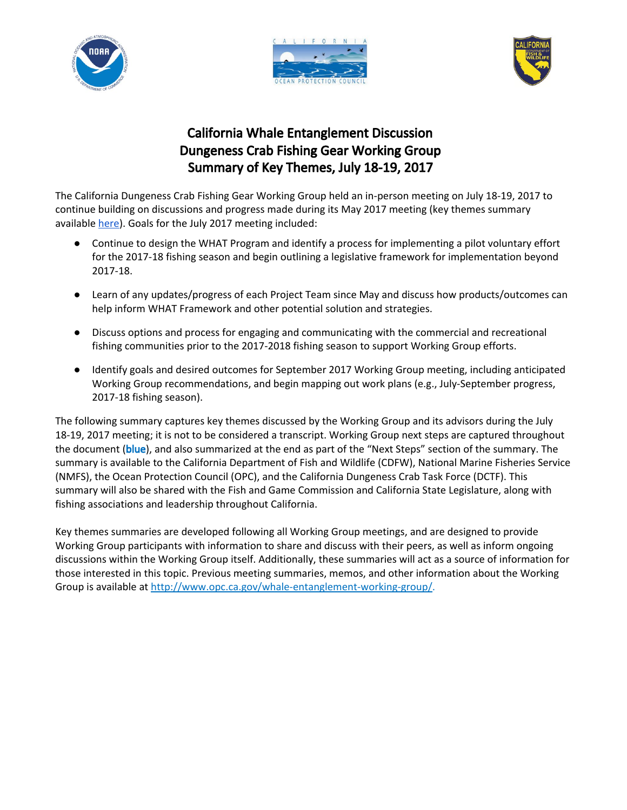





# California Whale Entanglement Discussion Dungeness Crab Fishing Gear Working Group Summary of Key Themes, July 18-19, 2017

The California Dungeness Crab Fishing Gear Working Group held an in-person meeting on July 18-19, 2017 to continue building on discussions and progress made during its May 2017 meeting (key themes summary available [here\)](http://www.opc.ca.gov/webmaster/_media_library/2016/08/Whales_WGSummary_May2017_FINAL.pdf). Goals for the July 2017 meeting included:

- Continue to design the WHAT Program and identify a process for implementing a pilot voluntary effort for the 2017-18 fishing season and begin outlining a legislative framework for implementation beyond 2017-18.
- Learn of any updates/progress of each Project Team since May and discuss how products/outcomes can help inform WHAT Framework and other potential solution and strategies.
- Discuss options and process for engaging and communicating with the commercial and recreational fishing communities prior to the 2017-2018 fishing season to support Working Group efforts.
- Identify goals and desired outcomes for September 2017 Working Group meeting, including anticipated Working Group recommendations, and begin mapping out work plans (e.g., July-September progress, 2017-18 fishing season).

The following summary captures key themes discussed by the Working Group and its advisors during the July 18-19, 2017 meeting; it is not to be considered a transcript. Working Group next steps are captured throughout the document (blue), and also summarized at the end as part of the "Next Steps" section of the summary. The summary is available to the California Department of Fish and Wildlife (CDFW), National Marine Fisheries Service (NMFS), the Ocean Protection Council (OPC), and the California Dungeness Crab Task Force (DCTF). This summary will also be shared with the Fish and Game Commission and California State Legislature, along with fishing associations and leadership throughout California.

Key themes summaries are developed following all Working Group meetings, and are designed to provide Working Group participants with information to share and discuss with their peers, as well as inform ongoing discussions within the Working Group itself. Additionally, these summaries will act as a source of information for those interested in this topic. Previous meeting summaries, memos, and other information about the Working Group is available at [http://www.opc.ca.gov/whale-entanglement-working-group/.](http://www.opc.ca.gov/whale-entanglement-working-group/)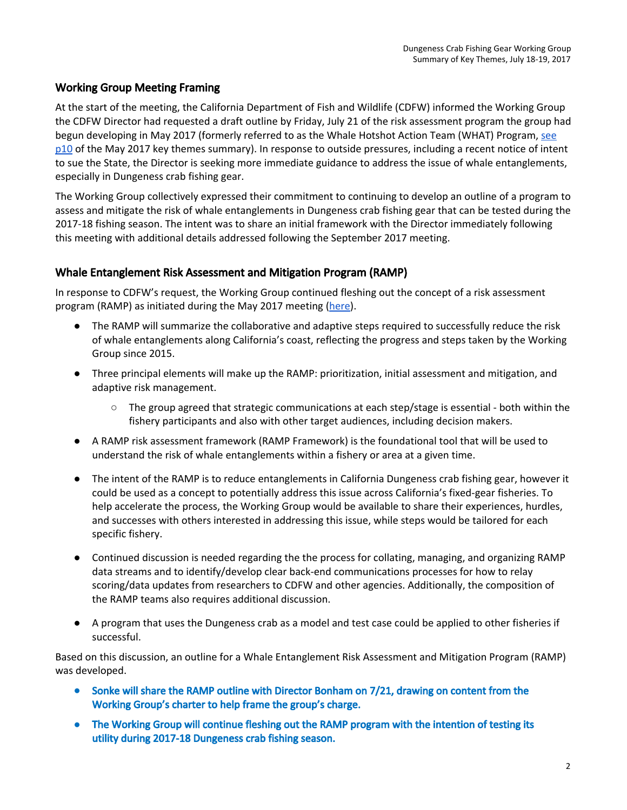# Working Group Meeting Framing

At the start of the meeting, the California Department of Fish and Wildlife (CDFW) informed the Working Group the CDFW Director had requested a draft outline by Friday, July 21 of the risk assessment program the group had begun developing in May 2017 (formerly referred to as the Whale Hotshot Action Team (WHAT) Program, [see](http://www.opc.ca.gov/webmaster/_media_library/2016/08/Whales_WGSummary_May2017_FINAL.pdf) [p10](http://www.opc.ca.gov/webmaster/_media_library/2016/08/Whales_WGSummary_May2017_FINAL.pdf) of the May 2017 key themes summary). In response to outside pressures, including a recent notice of intent to sue the State, the Director is seeking more immediate guidance to address the issue of whale entanglements, especially in Dungeness crab fishing gear.

The Working Group collectively expressed their commitment to continuing to develop an outline of a program to assess and mitigate the risk of whale entanglements in Dungeness crab fishing gear that can be tested during the 2017-18 fishing season. The intent was to share an initial framework with the Director immediately following this meeting with additional details addressed following the September 2017 meeting.

# Whale Entanglement Risk Assessment and Mitigation Program (RAMP)

In response to CDFW's request, the Working Group continued fleshing out the concept of a risk assessment program (RAMP) as initiated during the May 2017 meeting [\(here\)](http://www.opc.ca.gov/webmaster/_media_library/2016/08/Whales_WGSummary_May2017_FINAL.pdf).

- The RAMP will summarize the collaborative and adaptive steps required to successfully reduce the risk of whale entanglements along California's coast, reflecting the progress and steps taken by the Working Group since 2015.
- Three principal elements will make up the RAMP: prioritization, initial assessment and mitigation, and adaptive risk management.
	- $\circ$  The group agreed that strategic communications at each step/stage is essential both within the fishery participants and also with other target audiences, including decision makers.
- A RAMP risk assessment framework (RAMP Framework) is the foundational tool that will be used to understand the risk of whale entanglements within a fishery or area at a given time.
- The intent of the RAMP is to reduce entanglements in California Dungeness crab fishing gear, however it could be used as a concept to potentially address this issue across California's fixed-gear fisheries. To help accelerate the process, the Working Group would be available to share their experiences, hurdles, and successes with others interested in addressing this issue, while steps would be tailored for each specific fishery.
- Continued discussion is needed regarding the the process for collating, managing, and organizing RAMP data streams and to identify/develop clear back-end communications processes for how to relay scoring/data updates from researchers to CDFW and other agencies. Additionally, the composition of the RAMP teams also requires additional discussion.
- A program that uses the Dungeness crab as a model and test case could be applied to other fisheries if successful.

Based on this discussion, an outline for a Whale Entanglement Risk Assessment and Mitigation Program (RAMP) was developed.

- Sonke will share the RAMP outline with Director Bonham on 7/21, drawing on content from the Working Group's charter to help frame the group's charge.
- **●** The Working Group will continue fleshing out the RAMP program with the intention of testing its utility during 2017-18 Dungeness crab fishing season.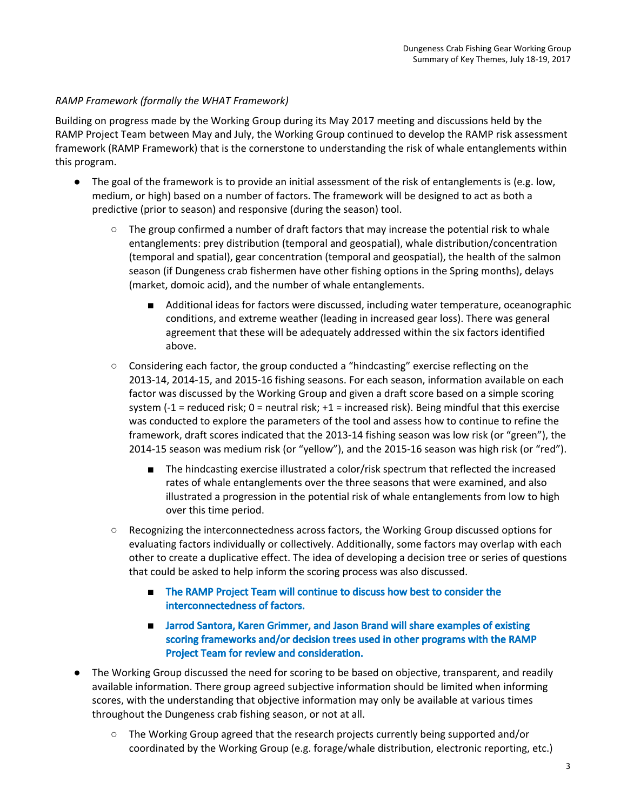## *RAMP Framework (formally the WHAT Framework)*

Building on progress made by the Working Group during its May 2017 meeting and discussions held by the RAMP Project Team between May and July, the Working Group continued to develop the RAMP risk assessment framework (RAMP Framework) that is the cornerstone to understanding the risk of whale entanglements within this program.

- The goal of the framework is to provide an initial assessment of the risk of entanglements is (e.g. low, medium, or high) based on a number of factors. The framework will be designed to act as both a predictive (prior to season) and responsive (during the season) tool.
	- $\circ$  The group confirmed a number of draft factors that may increase the potential risk to whale entanglements: prey distribution (temporal and geospatial), whale distribution/concentration (temporal and spatial), gear concentration (temporal and geospatial), the health of the salmon season (if Dungeness crab fishermen have other fishing options in the Spring months), delays (market, domoic acid), and the number of whale entanglements.
		- Additional ideas for factors were discussed, including water temperature, oceanographic conditions, and extreme weather (leading in increased gear loss). There was general agreement that these will be adequately addressed within the six factors identified above.
	- Considering each factor, the group conducted a "hindcasting" exercise reflecting on the 2013-14, 2014-15, and 2015-16 fishing seasons. For each season, information available on each factor was discussed by the Working Group and given a draft score based on a simple scoring system (-1 = reduced risk;  $0$  = neutral risk; +1 = increased risk). Being mindful that this exercise was conducted to explore the parameters of the tool and assess how to continue to refine the framework, draft scores indicated that the 2013-14 fishing season was low risk (or "green"), the 2014-15 season was medium risk (or "yellow"), and the 2015-16 season was high risk (or "red").
		- The hindcasting exercise illustrated a color/risk spectrum that reflected the increased rates of whale entanglements over the three seasons that were examined, and also illustrated a progression in the potential risk of whale entanglements from low to high over this time period.
	- Recognizing the interconnectedness across factors, the Working Group discussed options for evaluating factors individually or collectively. Additionally, some factors may overlap with each other to create a duplicative effect. The idea of developing a decision tree or series of questions that could be asked to help inform the scoring process was also discussed.
		- The RAMP Project Team will continue to discuss how best to consider the interconnectedness of factors.
		- Jarrod Santora, Karen Grimmer, and Jason Brand will share examples of existing scoring frameworks and/or decision trees used in other programs with the RAMP Project Team for review and consideration.
- The Working Group discussed the need for scoring to be based on objective, transparent, and readily available information. There group agreed subjective information should be limited when informing scores, with the understanding that objective information may only be available at various times throughout the Dungeness crab fishing season, or not at all.
	- The Working Group agreed that the research projects currently being supported and/or coordinated by the Working Group (e.g. forage/whale distribution, electronic reporting, etc.)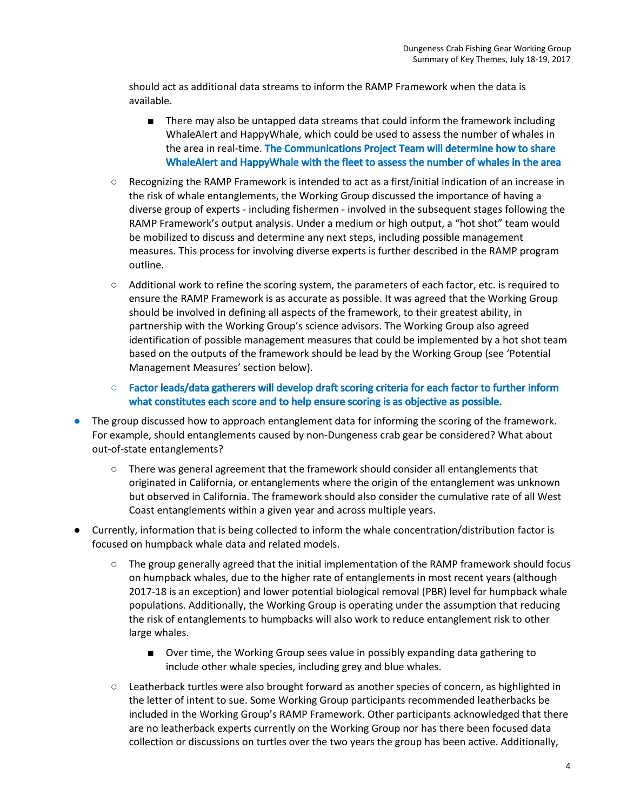should act as additional data streams to inform the RAMP Framework when the data is available.

- There may also be untapped data streams that could inform the framework including WhaleAlert and HappyWhale, which could be used to assess the number of whales in the area in real-time. The Communications Project Team will determine how to share WhaleAlert and HappyWhale with the fleet to assess the number of whales in the area
- Recognizing the RAMP Framework is intended to act as a first/initial indication of an increase in the risk of whale entanglements, the Working Group discussed the importance of having a diverse group of experts - including fishermen - involved in the subsequent stages following the RAMP Framework's output analysis. Under a medium or high output, a "hot shot" team would be mobilized to discuss and determine any next steps, including possible management measures. This process for involving diverse experts is further described in the RAMP program outline.
- Additional work to refine the scoring system, the parameters of each factor, etc. is required to ensure the RAMP Framework is as accurate as possible. It was agreed that the Working Group should be involved in defining all aspects of the framework, to their greatest ability, in partnership with the Working Group's science advisors. The Working Group also agreed identification of possible management measures that could be implemented by a hot shot team based on the outputs of the framework should be lead by the Working Group (see 'Potential Management Measures' section below).

○ Factor leads/data gatherers will develop draft scoring criteria for each factor to further inform what constitutes each score and to help ensure scoring is as objective as possible.

- The group discussed how to approach entanglement data for informing the scoring of the framework. For example, should entanglements caused by non-Dungeness crab gear be considered? What about out-of-state entanglements?
	- **○** There was general agreement that the framework should consider all entanglements that originated in California, or entanglements where the origin of the entanglement was unknown but observed in California. The framework should also consider the cumulative rate of all West Coast entanglements within a given year and across multiple years.
- **●** Currently, information that is being collected to inform the whale concentration/distribution factor is focused on humpback whale data and related models.
	- **○** The group generally agreed that the initial implementation of the RAMP framework should focus on humpback whales, due to the higher rate of entanglements in most recent years (although 2017-18 is an exception) and lower potential biological removal (PBR) level for humpback whale populations. Additionally, the Working Group is operating under the assumption that reducing the risk of entanglements to humpbacks will also work to reduce entanglement risk to other large whales.
		- Over time, the Working Group sees value in possibly expanding data gathering to include other whale species, including grey and blue whales.
	- **○** Leatherback turtles were also brought forward as another species of concern, as highlighted in the letter of intent to sue. Some Working Group participants recommended leatherbacks be included in the Working Group's RAMP Framework. Other participants acknowledged that there are no leatherback experts currently on the Working Group nor has there been focused data collection or discussions on turtles over the two years the group has been active. Additionally,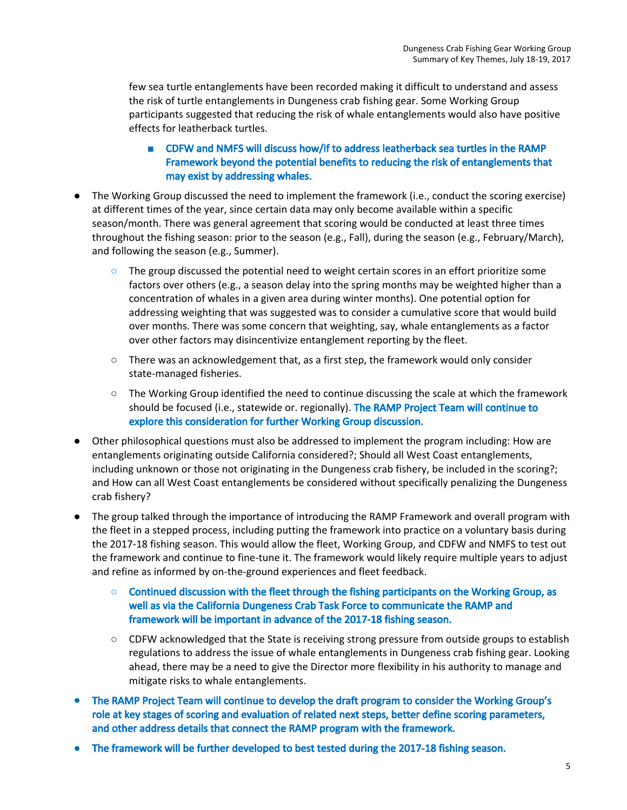few sea turtle entanglements have been recorded making it difficult to understand and assess the risk of turtle entanglements in Dungeness crab fishing gear. Some Working Group participants suggested that reducing the risk of whale entanglements would also have positive effects for leatherback turtles.

- CDFW and NMFS will discuss how/if to address leatherback sea turtles in the RAMP Framework beyond the potential benefits to reducing the risk of entanglements that may exist by addressing whales.
- The Working Group discussed the need to implement the framework (i.e., conduct the scoring exercise) at different times of the year, since certain data may only become available within a specific season/month. There was general agreement that scoring would be conducted at least three times throughout the fishing season: prior to the season (e.g., Fall), during the season (e.g., February/March), and following the season (e.g., Summer).
	- **○** The group discussed the potential need to weight certain scores in an effort prioritize some factors over others (e.g., a season delay into the spring months may be weighted higher than a concentration of whales in a given area during winter months). One potential option for addressing weighting that was suggested was to consider a cumulative score that would build over months. There was some concern that weighting, say, whale entanglements as a factor over other factors may disincentivize entanglement reporting by the fleet.
	- $\circ$  There was an acknowledgement that, as a first step, the framework would only consider state-managed fisheries.
	- $\circ$  The Working Group identified the need to continue discussing the scale at which the framework should be focused (i.e., statewide or. regionally). The RAMP Project Team will continue to explore this consideration for further Working Group discussion.
- Other philosophical questions must also be addressed to implement the program including: How are entanglements originating outside California considered?; Should all West Coast entanglements, including unknown or those not originating in the Dungeness crab fishery, be included in the scoring?; and How can all West Coast entanglements be considered without specifically penalizing the Dungeness crab fishery?
- The group talked through the importance of introducing the RAMP Framework and overall program with the fleet in a stepped process, including putting the framework into practice on a voluntary basis during the 2017-18 fishing season. This would allow the fleet, Working Group, and CDFW and NMFS to test out the framework and continue to fine-tune it. The framework would likely require multiple years to adjust and refine as informed by on-the-ground experiences and fleet feedback.
	- **○** Continued discussion with the fleet through the fishing participants on the Working Group, as well as via the California Dungeness Crab Task Force to communicate the RAMP and framework will be important in advance of the 2017-18 fishing season.
	- CDFW acknowledged that the State is receiving strong pressure from outside groups to establish regulations to address the issue of whale entanglements in Dungeness crab fishing gear. Looking ahead, there may be a need to give the Director more flexibility in his authority to manage and mitigate risks to whale entanglements.
- The RAMP Project Team will continue to develop the draft program to consider the Working Group's role at key stages of scoring and evaluation of related next steps, better define scoring parameters, and other address details that connect the RAMP program with the framework.
- The framework will be further developed to best tested during the 2017-18 fishing season.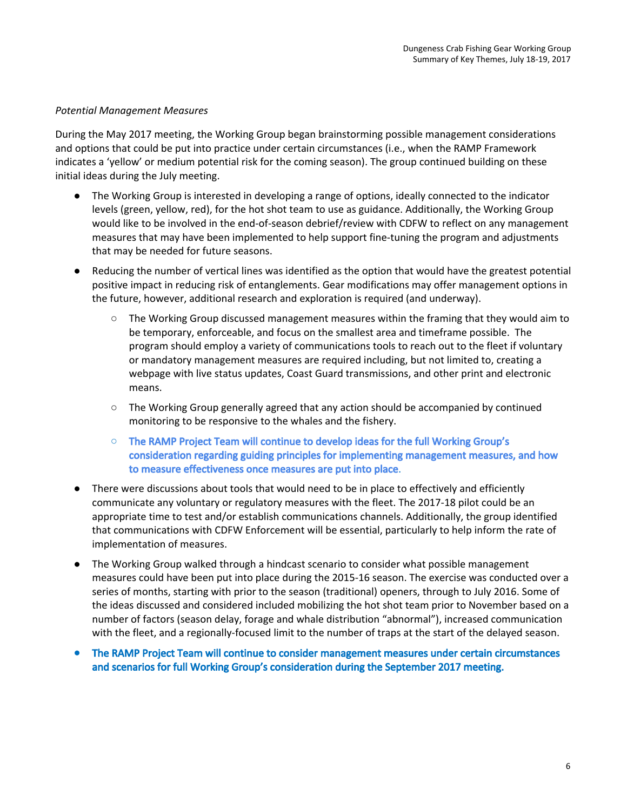## *Potential Management Measures*

During the May 2017 meeting, the Working Group began brainstorming possible management considerations and options that could be put into practice under certain circumstances (i.e., when the RAMP Framework indicates a 'yellow' or medium potential risk for the coming season). The group continued building on these initial ideas during the July meeting.

- The Working Group is interested in developing a range of options, ideally connected to the indicator levels (green, yellow, red), for the hot shot team to use as guidance. Additionally, the Working Group would like to be involved in the end-of-season debrief/review with CDFW to reflect on any management measures that may have been implemented to help support fine-tuning the program and adjustments that may be needed for future seasons.
- Reducing the number of vertical lines was identified as the option that would have the greatest potential positive impact in reducing risk of entanglements. Gear modifications may offer management options in the future, however, additional research and exploration is required (and underway).
	- $\circ$  The Working Group discussed management measures within the framing that they would aim to be temporary, enforceable, and focus on the smallest area and timeframe possible. The program should employ a variety of communications tools to reach out to the fleet if voluntary or mandatory management measures are required including, but not limited to, creating a webpage with live status updates, Coast Guard transmissions, and other print and electronic means.
	- The Working Group generally agreed that any action should be accompanied by continued monitoring to be responsive to the whales and the fishery.
	- The RAMP Project Team will continue to develop ideas for the full Working Group's consideration regarding guiding principles for implementing management measures, and how to measure effectiveness once measures are put into place.
- There were discussions about tools that would need to be in place to effectively and efficiently communicate any voluntary or regulatory measures with the fleet. The 2017-18 pilot could be an appropriate time to test and/or establish communications channels. Additionally, the group identified that communications with CDFW Enforcement will be essential, particularly to help inform the rate of implementation of measures.
- The Working Group walked through a hindcast scenario to consider what possible management measures could have been put into place during the 2015-16 season. The exercise was conducted over a series of months, starting with prior to the season (traditional) openers, through to July 2016. Some of the ideas discussed and considered included mobilizing the hot shot team prior to November based on a number of factors (season delay, forage and whale distribution "abnormal"), increased communication with the fleet, and a regionally-focused limit to the number of traps at the start of the delayed season.
- **●** The RAMP Project Team will continue to consider management measures under certain circumstances and scenarios for full Working Group's consideration during the September 2017 meeting.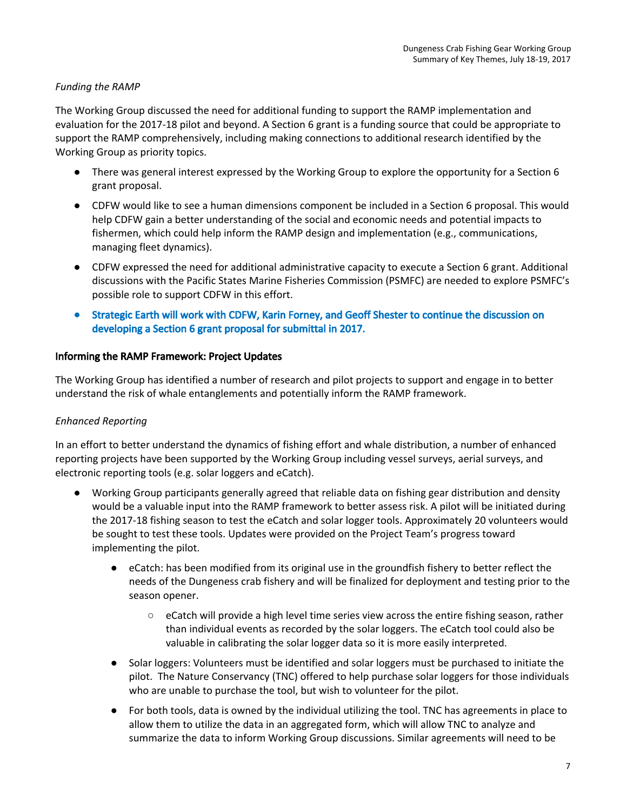## *Funding the RAMP*

The Working Group discussed the need for additional funding to support the RAMP implementation and evaluation for the 2017-18 pilot and beyond. A Section 6 grant is a funding source that could be appropriate to support the RAMP comprehensively, including making connections to additional research identified by the Working Group as priority topics.

- There was general interest expressed by the Working Group to explore the opportunity for a Section 6 grant proposal.
- CDFW would like to see a human dimensions component be included in a Section 6 proposal. This would help CDFW gain a better understanding of the social and economic needs and potential impacts to fishermen, which could help inform the RAMP design and implementation (e.g., communications, managing fleet dynamics).
- CDFW expressed the need for additional administrative capacity to execute a Section 6 grant. Additional discussions with the Pacific States Marine Fisheries Commission (PSMFC) are needed to explore PSMFC's possible role to support CDFW in this effort.
- Strategic Earth will work with CDFW, Karin Forney, and Geoff Shester to continue the discussion on developing a Section 6 grant proposal for submittal in 2017.

## Informing the RAMP Framework: Project Updates

The Working Group has identified a number of research and pilot projects to support and engage in to better understand the risk of whale entanglements and potentially inform the RAMP framework.

## *Enhanced Reporting*

In an effort to better understand the dynamics of fishing effort and whale distribution, a number of enhanced reporting projects have been supported by the Working Group including vessel surveys, aerial surveys, and electronic reporting tools (e.g. solar loggers and eCatch).

- Working Group participants generally agreed that reliable data on fishing gear distribution and density would be a valuable input into the RAMP framework to better assess risk. A pilot will be initiated during the 2017-18 fishing season to test the eCatch and solar logger tools. Approximately 20 volunteers would be sought to test these tools. Updates were provided on the Project Team's progress toward implementing the pilot.
	- eCatch: has been modified from its original use in the groundfish fishery to better reflect the needs of the Dungeness crab fishery and will be finalized for deployment and testing prior to the season opener.
		- $\circ$  eCatch will provide a high level time series view across the entire fishing season, rather than individual events as recorded by the solar loggers. The eCatch tool could also be valuable in calibrating the solar logger data so it is more easily interpreted.
	- Solar loggers: Volunteers must be identified and solar loggers must be purchased to initiate the pilot. The Nature Conservancy (TNC) offered to help purchase solar loggers for those individuals who are unable to purchase the tool, but wish to volunteer for the pilot.
	- For both tools, data is owned by the individual utilizing the tool. TNC has agreements in place to allow them to utilize the data in an aggregated form, which will allow TNC to analyze and summarize the data to inform Working Group discussions. Similar agreements will need to be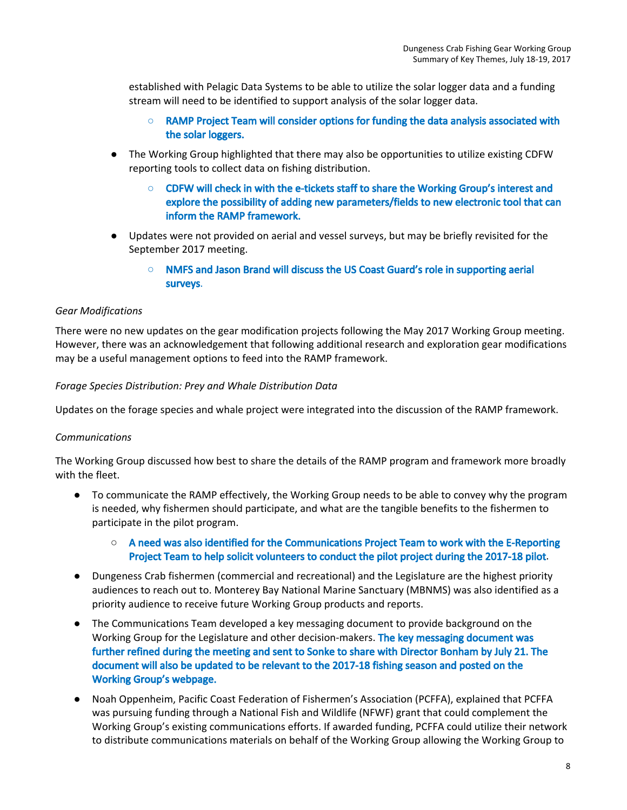established with Pelagic Data Systems to be able to utilize the solar logger data and a funding stream will need to be identified to support analysis of the solar logger data.

- **○** RAMP Project Team will consider options for funding the data analysis associated with the solar loggers.
- The Working Group highlighted that there may also be opportunities to utilize existing CDFW reporting tools to collect data on fishing distribution.
	- **○** CDFW will check in with the e-tickets staff to share the Working Group's interest and explore the possibility of adding new parameters/fields to new electronic tool that can inform the RAMP framework.
- Updates were not provided on aerial and vessel surveys, but may be briefly revisited for the September 2017 meeting.
	- NMFS and Jason Brand will discuss the US Coast Guard's role in supporting aerial surveys.

## *Gear Modifications*

There were no new updates on the gear modification projects following the May 2017 Working Group meeting. However, there was an acknowledgement that following additional research and exploration gear modifications may be a useful management options to feed into the RAMP framework.

## *Forage Species Distribution: Prey and Whale Distribution Data*

Updates on the forage species and whale project were integrated into the discussion of the RAMP framework.

## *Communications*

The Working Group discussed how best to share the details of the RAMP program and framework more broadly with the fleet.

● To communicate the RAMP effectively, the Working Group needs to be able to convey why the program is needed, why fishermen should participate, and what are the tangible benefits to the fishermen to participate in the pilot program.

## ○ A need was also identified for the Communications Project Team to work with the E-Reporting Project Team to help solicit volunteers to conduct the pilot project during the 2017-18 pilot.

- Dungeness Crab fishermen (commercial and recreational) and the Legislature are the highest priority audiences to reach out to. Monterey Bay National Marine Sanctuary (MBNMS) was also identified as a priority audience to receive future Working Group products and reports.
- The Communications Team developed a key messaging document to provide background on the Working Group for the Legislature and other decision-makers. The key messaging document was further refined during the meeting and sent to Sonke to share with Director Bonham by July 21. The document will also be updated to be relevant to the 2017-18 fishing season and posted on the Working Group's webpage.
- Noah Oppenheim, Pacific Coast Federation of Fishermen's Association (PCFFA), explained that PCFFA was pursuing funding through a National Fish and Wildlife (NFWF) grant that could complement the Working Group's existing communications efforts. If awarded funding, PCFFA could utilize their network to distribute communications materials on behalf of the Working Group allowing the Working Group to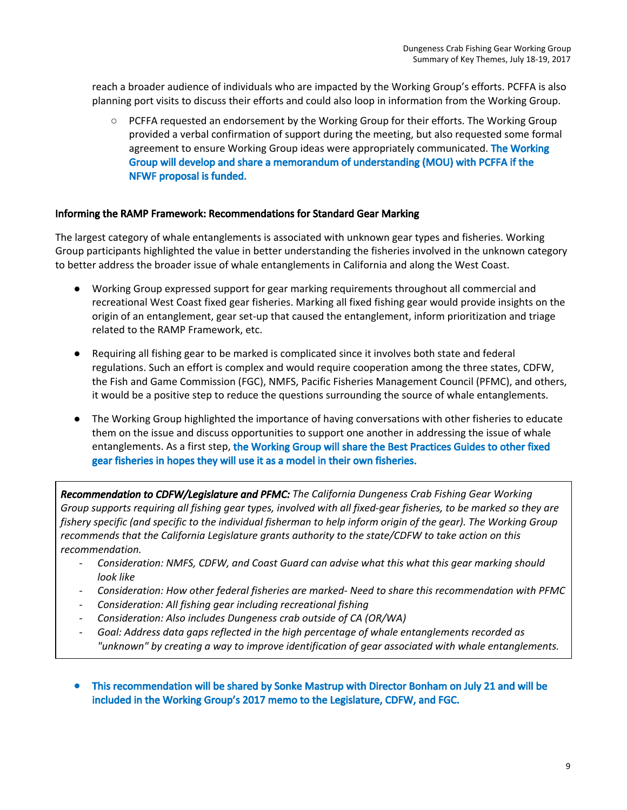reach a broader audience of individuals who are impacted by the Working Group's efforts. PCFFA is also planning port visits to discuss their efforts and could also loop in information from the Working Group.

○ PCFFA requested an endorsement by the Working Group for their efforts. The Working Group provided a verbal confirmation of support during the meeting, but also requested some formal agreement to ensure Working Group ideas were appropriately communicated. The Working Group will develop and share a memorandum of understanding (MOU) with PCFFA if the NFWF proposal is funded.

## Informing the RAMP Framework: Recommendations for Standard Gear Marking

The largest category of whale entanglements is associated with unknown gear types and fisheries. Working Group participants highlighted the value in better understanding the fisheries involved in the unknown category to better address the broader issue of whale entanglements in California and along the West Coast.

- Working Group expressed support for gear marking requirements throughout all commercial and recreational West Coast fixed gear fisheries. Marking all fixed fishing gear would provide insights on the origin of an entanglement, gear set-up that caused the entanglement, inform prioritization and triage related to the RAMP Framework, etc.
- Requiring all fishing gear to be marked is complicated since it involves both state and federal regulations. Such an effort is complex and would require cooperation among the three states, CDFW, the Fish and Game Commission (FGC), NMFS, Pacific Fisheries Management Council (PFMC), and others, it would be a positive step to reduce the questions surrounding the source of whale entanglements.
- The Working Group highlighted the importance of having conversations with other fisheries to educate them on the issue and discuss opportunities to support one another in addressing the issue of whale entanglements. As a first step, the Working Group will share the Best Practices Guides to other fixed gear fisheries in hopes they will use it as a model in their own fisheries.

*Recommendation to CDFW/Legislature and PFMC: The California Dungeness Crab Fishing Gear Working* Group supports requiring all fishing gear types, involved with all fixed-gear fisheries, to be marked so they are fishery specific (and specific to the individual fisherman to help inform origin of the gear). The Working Group *recommends that the California Legislature grants authority to the state/CDFW to take action on this recommendation.*

- *- Consideration: NMFS, CDFW, and Coast Guard can advise what this what this gear marking should look like*
- *- Consideration: How other federal fisheries are marked- Need to share this recommendation with PFMC*
- *- Consideration: All fishing gear including recreational fishing*
- *- Consideration: Also includes Dungeness crab outside of CA (OR/WA)*
- *- Goal: Address data gaps reflected in the high percentage of whale entanglements recorded as "unknown" by creating a way to improve identification of gear associated with whale entanglements.*
- **●** This recommendation will be shared by Sonke Mastrup with Director Bonham on July 21 and will be included in the Working Group's 2017 memo to the Legislature, CDFW, and FGC.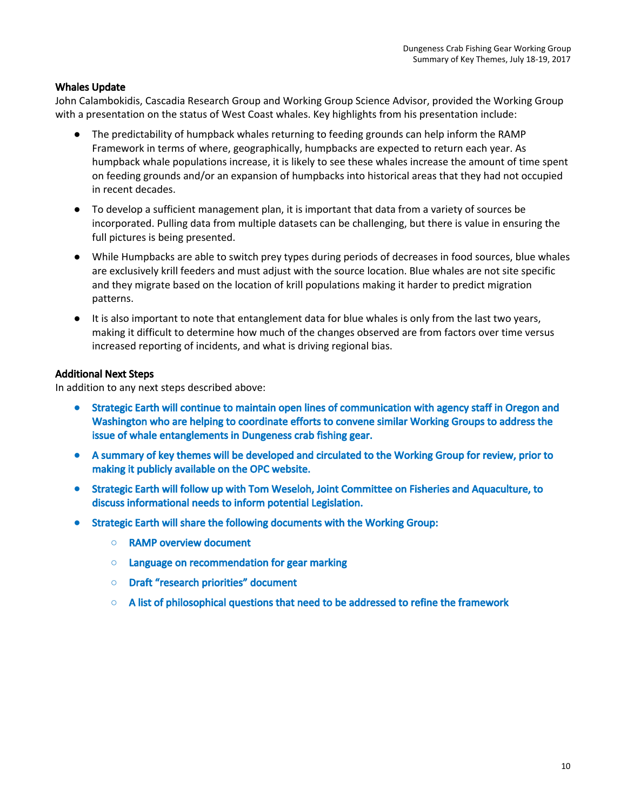## Whales Update

John Calambokidis, Cascadia Research Group and Working Group Science Advisor, provided the Working Group with a presentation on the status of West Coast whales. Key highlights from his presentation include:

- The predictability of humpback whales returning to feeding grounds can help inform the RAMP Framework in terms of where, geographically, humpbacks are expected to return each year. As humpback whale populations increase, it is likely to see these whales increase the amount of time spent on feeding grounds and/or an expansion of humpbacks into historical areas that they had not occupied in recent decades.
- To develop a sufficient management plan, it is important that data from a variety of sources be incorporated. Pulling data from multiple datasets can be challenging, but there is value in ensuring the full pictures is being presented.
- While Humpbacks are able to switch prey types during periods of decreases in food sources, blue whales are exclusively krill feeders and must adjust with the source location. Blue whales are not site specific and they migrate based on the location of krill populations making it harder to predict migration patterns.
- It is also important to note that entanglement data for blue whales is only from the last two years, making it difficult to determine how much of the changes observed are from factors over time versus increased reporting of incidents, and what is driving regional bias.

## Additional Next Steps

In addition to any next steps described above:

- **●** Strategic Earth will continue to maintain open lines of communication with agency staff in Oregon and Washington who are helping to coordinate efforts to convene similar Working Groups to address the issue of whale entanglements in Dungeness crab fishing gear.
- **●** A summary of key themes will be developed and circulated to the Working Group for review, prior to making it publicly available on the OPC website.
- Strategic Earth will follow up with Tom Weseloh, Joint Committee on Fisheries and Aquaculture, to discuss informational needs to inform potential Legislation.
- **●** Strategic Earth will share the following documents with the Working Group:
	- **○** RAMP overview document
	- **○** Language on recommendation for gear marking
	- **○** Draft "research priorities" document
	- **○** A list of philosophical questions that need to be addressed to refine the framework